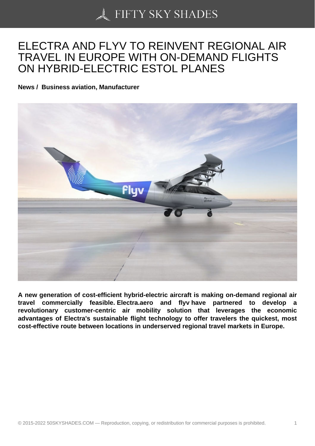## [ELECTRA AND FLYV](https://50skyshades.com) TO REINVENT REGIONAL AIR TRAVEL IN EUROPE WITH ON-DEMAND FLIGHTS ON HYBRID-ELECTRIC ESTOL PLANES

News / Business aviation, Manufacturer

A new generation of cost-efficient hybrid-electric aircraft is making on-demand regional air travel commercially feasible. Electra.aero and flyv have partnered to develop a revolutionary customer-centric air mobility solution that leverages the economic advantages of Electra's sustainable flight technology to offer travelers the quickest, most cost-effective route between locations in underserved regional travel markets in Europe.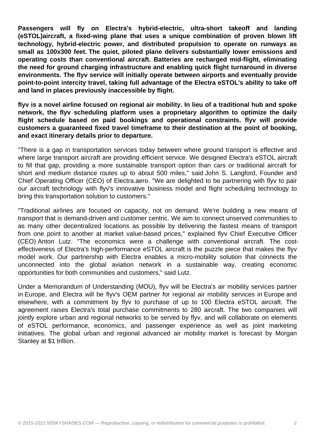**Passengers will fly on Electra's hybrid-electric, ultra-short takeoff and landing (eSTOL)aircraft, a fixed-wing plane that uses a unique combination of proven blown lift technology, hybrid-electric power, and distributed propulsion to operate on runways as small as 100x300 feet. The quiet, piloted plane delivers substantially lower emissions and operating costs than conventional aircraft. Batteries are recharged mid-flight, eliminating the need for ground charging infrastructure and enabling quick flight turnaround in diverse environments. The flyv service will initially operate between airports and eventually provide point-to-point intercity travel, taking full advantage of the Electra eSTOL's ability to take off and land in places previously inaccessible by flight.** 

**flyv is a novel airline focused on regional air mobility. In lieu of a traditional hub and spoke network, the flyv scheduling platform uses a proprietary algorithm to optimize the daily flight schedule based on paid bookings and operational constraints. flyv will provide customers a guaranteed fixed travel timeframe to their destination at the point of booking, and exact itinerary details prior to departure.** 

"There is a gap in transportation services today between where ground transport is effective and where large transport aircraft are providing efficient service. We designed Electra's eSTOL aircraft to fill that gap, providing a more sustainable transport option than cars or traditional aircraft for short and medium distance routes up to about 500 miles," said John S. Langford, Founder and Chief Operating Officer (CEO) of Electra.aero. "We are delighted to be partnering with flyv to pair our aircraft technology with flyv's innovative business model and flight scheduling technology to bring this transportation solution to customers."

"Traditional airlines are focused on capacity, not on demand. We're building a new means of transport that is demand-driven and customer centric. We aim to connect unserved communities to as many other decentralized locations as possible by delivering the fastest means of transport from one point to another at market value-based prices," explained flyv Chief Executive Officer (CEO) Anton Lutz. "The economics were a challenge with conventional aircraft. The costeffectiveness of Electra's high-performance eSTOL aircraft is the puzzle piece that makes the flyv model work. Our partnership with Electra enables a micro-mobility solution that connects the unconnected into the global aviation network in a sustainable way, creating economic opportunities for both communities and customers," said Lutz.

Under a Memorandum of Understanding (MOU), flyv will be Electra's air mobility services partner in Europe, and Electra will be flyv's OEM partner for regional air mobility services in Europe and elsewhere, with a commitment by flyv to purchase of up to 100 Electra eSTOL aircraft. The agreement raises Electra's total purchase commitments to 280 aircraft. The two companies will jointly explore urban and regional networks to be served by flyv, and will collaborate on elements of eSTOL performance, economics, and passenger experience as well as joint marketing initiatives. The global urban and regional advanced air mobility market is forecast by Morgan Stanley at \$1 trillion.